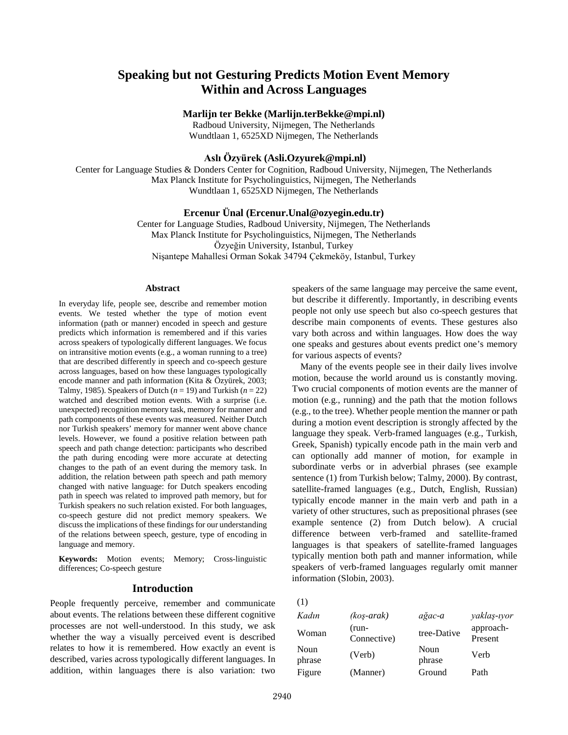# **Speaking but not Gesturing Predicts Motion Event Memory Within and Across Languages**

## **Marlijn ter Bekke (Marlijn.terBekke@mpi.nl)**

Radboud University, Nijmegen, The Netherlands Wundtlaan 1, 6525XD Nijmegen, The Netherlands

# **Aslı Özyürek (Asli.Ozyurek@mpi.nl)**

Center for Language Studies & Donders Center for Cognition, Radboud University, Nijmegen, The Netherlands Max Planck Institute for Psycholinguistics, Nijmegen, The Netherlands Wundtlaan 1, 6525XD Nijmegen, The Netherlands

## **Ercenur Ünal (Ercenur.Unal@ozyegin.edu.tr)**

Center for Language Studies, Radboud University, Nijmegen, The Netherlands Max Planck Institute for Psycholinguistics, Nijmegen, The Netherlands Özyeğin University, Istanbul, Turkey Nişantepe Mahallesi Orman Sokak 34794 Çekmeköy, Istanbul, Turkey

#### **Abstract**

In everyday life, people see, describe and remember motion events. We tested whether the type of motion event information (path or manner) encoded in speech and gesture predicts which information is remembered and if this varies across speakers of typologically different languages. We focus on intransitive motion events (e.g., a woman running to a tree) that are described differently in speech and co-speech gesture across languages, based on how these languages typologically encode manner and path information (Kita & Özyürek, 2003; Talmy, 1985). Speakers of Dutch  $(n = 19)$  and Turkish  $(n = 22)$ watched and described motion events. With a surprise (i.e. unexpected) recognition memory task, memory for manner and path components of these events was measured. Neither Dutch nor Turkish speakers' memory for manner went above chance levels. However, we found a positive relation between path speech and path change detection: participants who described the path during encoding were more accurate at detecting changes to the path of an event during the memory task. In addition, the relation between path speech and path memory changed with native language: for Dutch speakers encoding path in speech was related to improved path memory, but for Turkish speakers no such relation existed. For both languages, co-speech gesture did not predict memory speakers. We discuss the implications of these findings for our understanding of the relations between speech, gesture, type of encoding in language and memory.

**Keywords:** Motion events; Memory; Cross-linguistic differences; Co-speech gesture

## **Introduction**

People frequently perceive, remember and communicate about events. The relations between these different cognitive processes are not well-understood. In this study, we ask whether the way a visually perceived event is described relates to how it is remembered. How exactly an event is described, varies across typologically different languages. In addition, within languages there is also variation: two speakers of the same language may perceive the same event, but describe it differently. Importantly, in describing events people not only use speech but also co-speech gestures that describe main components of events. These gestures also vary both across and within languages. How does the way one speaks and gestures about events predict one's memory for various aspects of events?

Many of the events people see in their daily lives involve motion, because the world around us is constantly moving. Two crucial components of motion events are the manner of motion (e.g., running) and the path that the motion follows (e.g., to the tree). Whether people mention the manner or path during a motion event description is strongly affected by the language they speak. Verb-framed languages (e.g., Turkish, Greek, Spanish) typically encode path in the main verb and can optionally add manner of motion, for example in subordinate verbs or in adverbial phrases (see example sentence (1) from Turkish below; Talmy, 2000). By contrast, satellite-framed languages (e.g., Dutch, English, Russian) typically encode manner in the main verb and path in a variety of other structures, such as prepositional phrases (see example sentence (2) from Dutch below). A crucial difference between verb-framed and satellite-framed languages is that speakers of satellite-framed languages typically mention both path and manner information, while speakers of verb-framed languages regularly omit manner information (Slobin, 2003).

(1)

| Kadın          | $(kos-arak)$         | ağac-a         | yaklaş-ıyor          |
|----------------|----------------------|----------------|----------------------|
| Woman          | (run-<br>Connective) | tree-Dative    | approach-<br>Present |
| Noun<br>phrase | (Verb)               | Noun<br>phrase | Verb                 |
| Figure         | (Manner)             | Ground         | Path                 |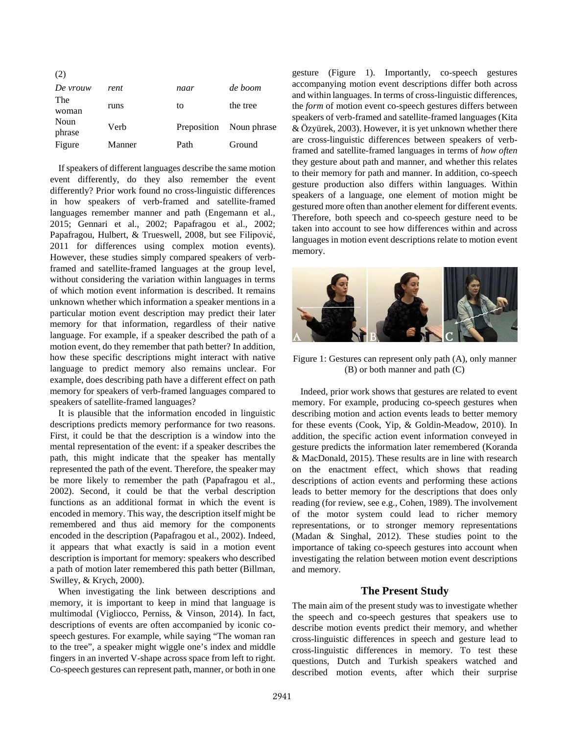| (2)            |        |             |             |
|----------------|--------|-------------|-------------|
| De vrouw       | rent   | naar        | de boom     |
| The<br>woman   | runs   | to          | the tree    |
| Noun<br>phrase | Verb   | Preposition | Noun phrase |
| Figure         | Manner | Path        | Ground      |

If speakers of different languages describe the same motion event differently, do they also remember the event differently? Prior work found no cross-linguistic differences in how speakers of verb-framed and satellite-framed languages remember manner and path (Engemann et al., 2015; Gennari et al., 2002; Papafragou et al., 2002; Papafragou, Hulbert, & Trueswell, 2008, but see Filipović, 2011 for differences using complex motion events). However, these studies simply compared speakers of verbframed and satellite-framed languages at the group level, without considering the variation within languages in terms of which motion event information is described. It remains unknown whether which information a speaker mentions in a particular motion event description may predict their later memory for that information, regardless of their native language. For example, if a speaker described the path of a motion event, do they remember that path better? In addition, how these specific descriptions might interact with native language to predict memory also remains unclear. For example, does describing path have a different effect on path memory for speakers of verb-framed languages compared to speakers of satellite-framed languages?

It is plausible that the information encoded in linguistic descriptions predicts memory performance for two reasons. First, it could be that the description is a window into the mental representation of the event: if a speaker describes the path, this might indicate that the speaker has mentally represented the path of the event. Therefore, the speaker may be more likely to remember the path (Papafragou et al., 2002). Second, it could be that the verbal description functions as an additional format in which the event is encoded in memory. This way, the description itself might be remembered and thus aid memory for the components encoded in the description (Papafragou et al., 2002). Indeed, it appears that what exactly is said in a motion event description is important for memory: speakers who described a path of motion later remembered this path better (Billman, Swilley, & Krych, 2000).

When investigating the link between descriptions and memory, it is important to keep in mind that language is multimodal (Vigliocco, Perniss, & Vinson, 2014). In fact, descriptions of events are often accompanied by iconic cospeech gestures. For example, while saying "The woman ran to the tree", a speaker might wiggle one's index and middle fingers in an inverted V-shape across space from left to right. Co-speech gestures can represent path, manner, or both in one gesture (Figure 1). Importantly, co-speech gestures accompanying motion event descriptions differ both across and within languages. In terms of cross-linguistic differences, the *form* of motion event co-speech gestures differs between speakers of verb-framed and satellite-framed languages (Kita & Özyürek, 2003). However, it is yet unknown whether there are cross-linguistic differences between speakers of verbframed and satellite-framed languages in terms of *how often* they gesture about path and manner, and whether this relates to their memory for path and manner. In addition, co-speech gesture production also differs within languages. Within speakers of a language, one element of motion might be gestured more often than another element for different events. Therefore, both speech and co-speech gesture need to be taken into account to see how differences within and across languages in motion event descriptions relate to motion event memory.



Figure 1: Gestures can represent only path (A), only manner (B) or both manner and path (C)

Indeed, prior work shows that gestures are related to event memory. For example, producing co-speech gestures when describing motion and action events leads to better memory for these events (Cook, Yip, & Goldin-Meadow, 2010). In addition, the specific action event information conveyed in gesture predicts the information later remembered (Koranda & MacDonald, 2015). These results are in line with research on the enactment effect, which shows that reading descriptions of action events and performing these actions leads to better memory for the descriptions that does only reading (for review, see e.g., Cohen, 1989). The involvement of the motor system could lead to richer memory representations, or to stronger memory representations (Madan & Singhal, 2012). These studies point to the importance of taking co-speech gestures into account when investigating the relation between motion event descriptions and memory.

## **The Present Study**

The main aim of the present study was to investigate whether the speech and co-speech gestures that speakers use to describe motion events predict their memory, and whether cross-linguistic differences in speech and gesture lead to cross-linguistic differences in memory. To test these questions, Dutch and Turkish speakers watched and described motion events, after which their surprise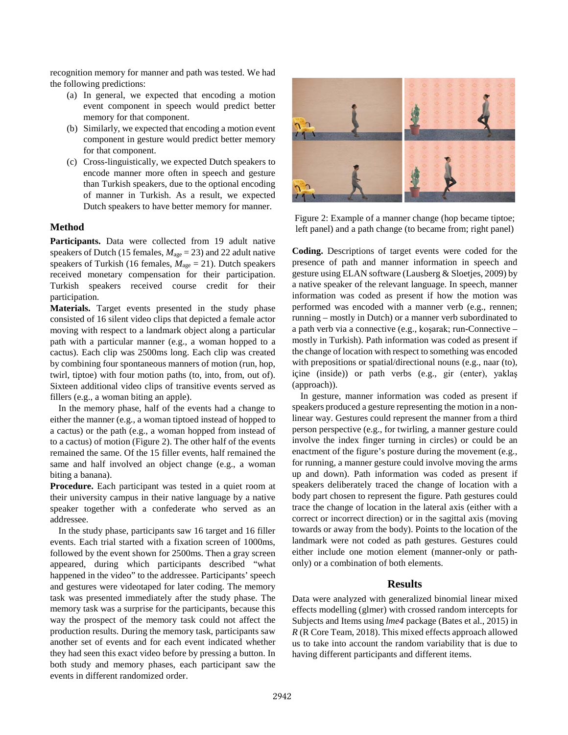recognition memory for manner and path was tested. We had the following predictions:

- (a) In general, we expected that encoding a motion event component in speech would predict better memory for that component.
- (b) Similarly, we expected that encoding a motion event component in gesture would predict better memory for that component.
- (c) Cross-linguistically, we expected Dutch speakers to encode manner more often in speech and gesture than Turkish speakers, due to the optional encoding of manner in Turkish. As a result, we expected Dutch speakers to have better memory for manner.

## **Method**

Participants. Data were collected from 19 adult native speakers of Dutch (15 females,  $M_{\text{age}} = 23$ ) and 22 adult native speakers of Turkish (16 females,  $M_{\text{age}} = 21$ ). Dutch speakers received monetary compensation for their participation. Turkish speakers received course credit for their participation.

**Materials.** Target events presented in the study phase consisted of 16 silent video clips that depicted a female actor moving with respect to a landmark object along a particular path with a particular manner (e.g., a woman hopped to a cactus). Each clip was 2500ms long. Each clip was created by combining four spontaneous manners of motion (run, hop, twirl, tiptoe) with four motion paths (to, into, from, out of). Sixteen additional video clips of transitive events served as fillers (e.g., a woman biting an apple).

In the memory phase, half of the events had a change to either the manner (e.g., a woman tiptoed instead of hopped to a cactus) or the path (e.g., a woman hopped from instead of to a cactus) of motion (Figure 2). The other half of the events remained the same. Of the 15 filler events, half remained the same and half involved an object change (e.g., a woman biting a banana).

**Procedure.** Each participant was tested in a quiet room at their university campus in their native language by a native speaker together with a confederate who served as an addressee.

In the study phase, participants saw 16 target and 16 filler events. Each trial started with a fixation screen of 1000ms, followed by the event shown for 2500ms. Then a gray screen appeared, during which participants described "what happened in the video" to the addressee. Participants' speech and gestures were videotaped for later coding. The memory task was presented immediately after the study phase. The memory task was a surprise for the participants, because this way the prospect of the memory task could not affect the production results. During the memory task, participants saw another set of events and for each event indicated whether they had seen this exact video before by pressing a button. In both study and memory phases, each participant saw the events in different randomized order.



Figure 2: Example of a manner change (hop became tiptoe; left panel) and a path change (to became from; right panel)

**Coding.** Descriptions of target events were coded for the presence of path and manner information in speech and gesture using ELAN software (Lausberg & Sloetjes, 2009) by a native speaker of the relevant language. In speech, manner information was coded as present if how the motion was performed was encoded with a manner verb (e.g., rennen; running – mostly in Dutch) or a manner verb subordinated to a path verb via a connective (e.g., koşarak; run-Connective – mostly in Turkish). Path information was coded as present if the change of location with respect to something was encoded with prepositions or spatial/directional nouns (e.g., naar (to), içine (inside)) or path verbs (e.g., gir (enter), yaklaş (approach)).

In gesture, manner information was coded as present if speakers produced a gesture representing the motion in a nonlinear way. Gestures could represent the manner from a third person perspective (e.g., for twirling, a manner gesture could involve the index finger turning in circles) or could be an enactment of the figure's posture during the movement (e.g., for running, a manner gesture could involve moving the arms up and down). Path information was coded as present if speakers deliberately traced the change of location with a body part chosen to represent the figure. Path gestures could trace the change of location in the lateral axis (either with a correct or incorrect direction) or in the sagittal axis (moving towards or away from the body). Points to the location of the landmark were not coded as path gestures. Gestures could either include one motion element (manner-only or pathonly) or a combination of both elements.

## **Results**

Data were analyzed with generalized binomial linear mixed effects modelling (glmer) with crossed random intercepts for Subjects and Items using *lme4* package (Bates et al., 2015) in *R* (R Core Team, 2018). This mixed effects approach allowed us to take into account the random variability that is due to having different participants and different items.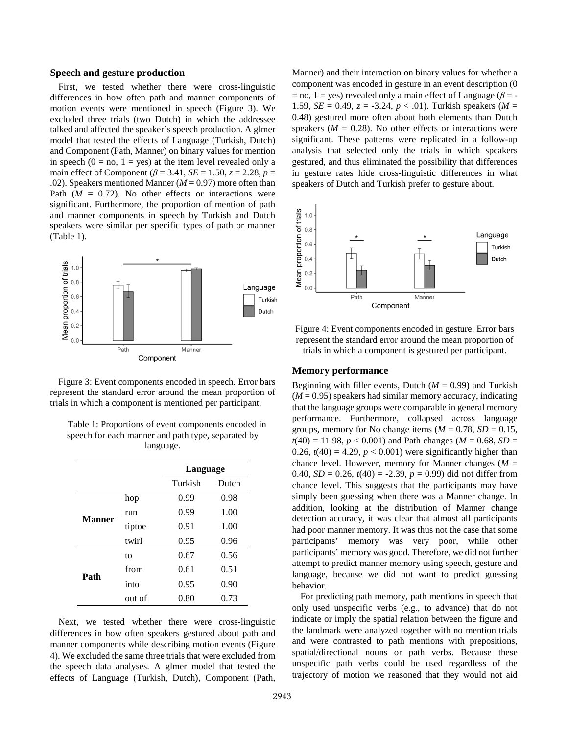#### **Speech and gesture production**

First, we tested whether there were cross-linguistic differences in how often path and manner components of motion events were mentioned in speech (Figure 3). We excluded three trials (two Dutch) in which the addressee talked and affected the speaker's speech production. A glmer model that tested the effects of Language (Turkish, Dutch) and Component (Path, Manner) on binary values for mention in speech  $(0 = no, 1 = yes)$  at the item level revealed only a main effect of Component ( $\beta$  = 3.41, *SE* = 1.50, *z* = 2.28, *p* = .02). Speakers mentioned Manner (*M* = 0.97) more often than Path  $(M = 0.72)$ . No other effects or interactions were significant. Furthermore, the proportion of mention of path and manner components in speech by Turkish and Dutch speakers were similar per specific types of path or manner (Table 1).



Figure 3: Event components encoded in speech. Error bars represent the standard error around the mean proportion of trials in which a component is mentioned per participant.

| Table 1: Proportions of event components encoded in |
|-----------------------------------------------------|
| speech for each manner and path type, separated by  |
| language.                                           |

|               |        | Language |       |
|---------------|--------|----------|-------|
|               |        | Turkish  | Dutch |
| <b>Manner</b> | hop    | 0.99     | 0.98  |
|               | run    | 0.99     | 1.00  |
|               | tiptoe | 0.91     | 1.00  |
|               | twirl  | 0.95     | 0.96  |
| Path          | to     | 0.67     | 0.56  |
|               | from   | 0.61     | 0.51  |
|               | into   | 0.95     | 0.90  |
|               | out of | 0.80     | 0.73  |

Next, we tested whether there were cross-linguistic differences in how often speakers gestured about path and manner components while describing motion events (Figure 4). We excluded the same three trials that were excluded from the speech data analyses. A glmer model that tested the effects of Language (Turkish, Dutch), Component (Path, Manner) and their interaction on binary values for whether a component was encoded in gesture in an event description (0  $=$  no, 1 = yes) revealed only a main effect of Language ( $\beta$  = -1.59, *SE* = 0.49,  $z = -3.24$ ,  $p < .01$ ). Turkish speakers (*M* = 0.48) gestured more often about both elements than Dutch speakers  $(M = 0.28)$ . No other effects or interactions were significant. These patterns were replicated in a follow-up analysis that selected only the trials in which speakers gestured, and thus eliminated the possibility that differences in gesture rates hide cross-linguistic differences in what speakers of Dutch and Turkish prefer to gesture about.



Figure 4: Event components encoded in gesture. Error bars represent the standard error around the mean proportion of trials in which a component is gestured per participant.

#### **Memory performance**

Beginning with filler events, Dutch  $(M = 0.99)$  and Turkish  $(M = 0.95)$  speakers had similar memory accuracy, indicating that the language groups were comparable in general memory performance. Furthermore, collapsed across language groups, memory for No change items  $(M = 0.78, SD = 0.15,$  $t(40) = 11.98$ ,  $p < 0.001$ ) and Path changes ( $M = 0.68$ ,  $SD =$ 0.26,  $t(40) = 4.29$ ,  $p < 0.001$ ) were significantly higher than chance level. However, memory for Manner changes ( $M =$ 0.40,  $SD = 0.26$ ,  $t(40) = -2.39$ ,  $p = 0.99$ ) did not differ from chance level. This suggests that the participants may have simply been guessing when there was a Manner change. In addition, looking at the distribution of Manner change detection accuracy, it was clear that almost all participants had poor manner memory. It was thus not the case that some participants' memory was very poor, while other participants' memory was good. Therefore, we did not further attempt to predict manner memory using speech, gesture and language, because we did not want to predict guessing behavior.

For predicting path memory, path mentions in speech that only used unspecific verbs (e.g., to advance) that do not indicate or imply the spatial relation between the figure and the landmark were analyzed together with no mention trials and were contrasted to path mentions with prepositions, spatial/directional nouns or path verbs. Because these unspecific path verbs could be used regardless of the trajectory of motion we reasoned that they would not aid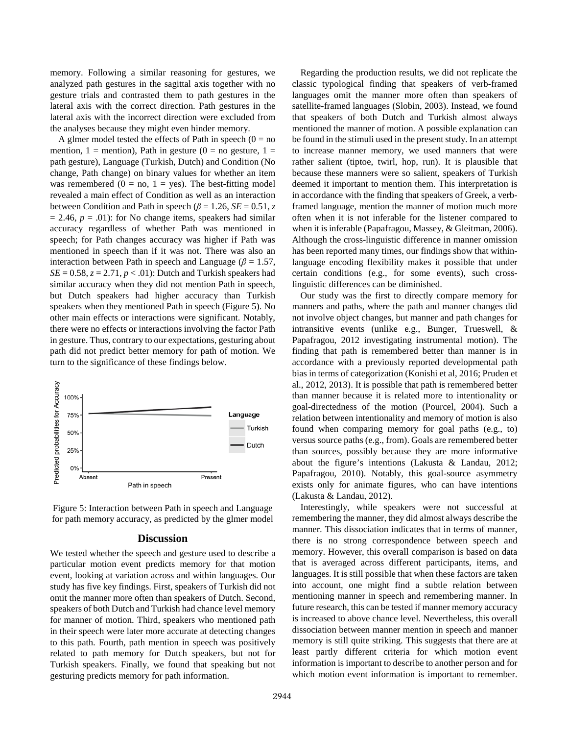memory. Following a similar reasoning for gestures, we analyzed path gestures in the sagittal axis together with no gesture trials and contrasted them to path gestures in the lateral axis with the correct direction. Path gestures in the lateral axis with the incorrect direction were excluded from the analyses because they might even hinder memory.

A glmer model tested the effects of Path in speech  $(0 = no$ mention, 1 = mention), Path in gesture (0 = no gesture, 1 = path gesture), Language (Turkish, Dutch) and Condition (No change, Path change) on binary values for whether an item was remembered ( $0 = no$ ,  $1 = yes$ ). The best-fitting model revealed a main effect of Condition as well as an interaction between Condition and Path in speech ( $\beta$  = 1.26, *SE* = 0.51, *z*  $= 2.46$ ,  $p = .01$ ): for No change items, speakers had similar accuracy regardless of whether Path was mentioned in speech; for Path changes accuracy was higher if Path was mentioned in speech than if it was not. There was also an interaction between Path in speech and Language ( $\beta$  = 1.57,  $SE = 0.58$ ,  $z = 2.71$ ,  $p < .01$ ): Dutch and Turkish speakers had similar accuracy when they did not mention Path in speech, but Dutch speakers had higher accuracy than Turkish speakers when they mentioned Path in speech (Figure 5). No other main effects or interactions were significant. Notably, there were no effects or interactions involving the factor Path in gesture. Thus, contrary to our expectations, gesturing about path did not predict better memory for path of motion. We turn to the significance of these findings below.





#### **Discussion**

We tested whether the speech and gesture used to describe a particular motion event predicts memory for that motion event, looking at variation across and within languages. Our study has five key findings. First, speakers of Turkish did not omit the manner more often than speakers of Dutch. Second, speakers of both Dutch and Turkish had chance level memory for manner of motion. Third, speakers who mentioned path in their speech were later more accurate at detecting changes to this path. Fourth, path mention in speech was positively related to path memory for Dutch speakers, but not for Turkish speakers. Finally, we found that speaking but not gesturing predicts memory for path information.

Regarding the production results, we did not replicate the classic typological finding that speakers of verb-framed languages omit the manner more often than speakers of satellite-framed languages (Slobin, 2003). Instead, we found that speakers of both Dutch and Turkish almost always mentioned the manner of motion. A possible explanation can be found in the stimuli used in the present study. In an attempt to increase manner memory, we used manners that were rather salient (tiptoe, twirl, hop, run). It is plausible that because these manners were so salient, speakers of Turkish deemed it important to mention them. This interpretation is in accordance with the finding that speakers of Greek, a verbframed language, mention the manner of motion much more often when it is not inferable for the listener compared to when it is inferable (Papafragou, Massey, & Gleitman, 2006). Although the cross-linguistic difference in manner omission has been reported many times, our findings show that withinlanguage encoding flexibility makes it possible that under certain conditions (e.g., for some events), such crosslinguistic differences can be diminished.

Our study was the first to directly compare memory for manners and paths, where the path and manner changes did not involve object changes, but manner and path changes for intransitive events (unlike e.g., Bunger, Trueswell, & Papafragou, 2012 investigating instrumental motion). The finding that path is remembered better than manner is in accordance with a previously reported developmental path bias in terms of categorization (Konishi et al, 2016; Pruden et al., 2012, 2013). It is possible that path is remembered better than manner because it is related more to intentionality or goal-directedness of the motion (Pourcel, 2004). Such a relation between intentionality and memory of motion is also found when comparing memory for goal paths (e.g., to) versus source paths (e.g., from). Goals are remembered better than sources, possibly because they are more informative about the figure's intentions (Lakusta & Landau, 2012; Papafragou, 2010). Notably, this goal-source asymmetry exists only for animate figures, who can have intentions (Lakusta & Landau, 2012).

Interestingly, while speakers were not successful at remembering the manner, they did almost always describe the manner. This dissociation indicates that in terms of manner, there is no strong correspondence between speech and memory. However, this overall comparison is based on data that is averaged across different participants, items, and languages. It is still possible that when these factors are taken into account, one might find a subtle relation between mentioning manner in speech and remembering manner. In future research, this can be tested if manner memory accuracy is increased to above chance level. Nevertheless, this overall dissociation between manner mention in speech and manner memory is still quite striking. This suggests that there are at least partly different criteria for which motion event information is important to describe to another person and for which motion event information is important to remember.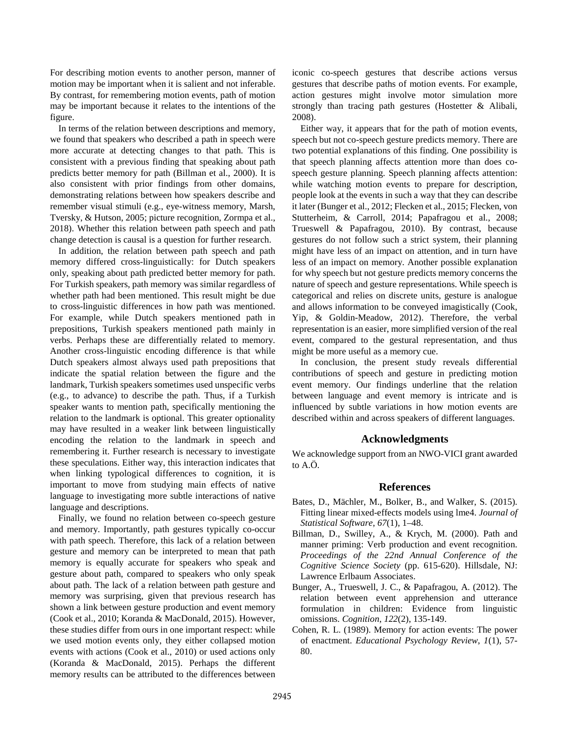For describing motion events to another person, manner of motion may be important when it is salient and not inferable. By contrast, for remembering motion events, path of motion may be important because it relates to the intentions of the figure.

In terms of the relation between descriptions and memory, we found that speakers who described a path in speech were more accurate at detecting changes to that path. This is consistent with a previous finding that speaking about path predicts better memory for path (Billman et al., 2000). It is also consistent with prior findings from other domains, demonstrating relations between how speakers describe and remember visual stimuli (e.g., eye-witness memory, Marsh, Tversky, & Hutson, 2005; picture recognition, Zormpa et al., 2018). Whether this relation between path speech and path change detection is causal is a question for further research.

In addition, the relation between path speech and path memory differed cross-linguistically: for Dutch speakers only, speaking about path predicted better memory for path. For Turkish speakers, path memory was similar regardless of whether path had been mentioned. This result might be due to cross-linguistic differences in how path was mentioned. For example, while Dutch speakers mentioned path in prepositions, Turkish speakers mentioned path mainly in verbs. Perhaps these are differentially related to memory. Another cross-linguistic encoding difference is that while Dutch speakers almost always used path prepositions that indicate the spatial relation between the figure and the landmark, Turkish speakers sometimes used unspecific verbs (e.g., to advance) to describe the path. Thus, if a Turkish speaker wants to mention path, specifically mentioning the relation to the landmark is optional. This greater optionality may have resulted in a weaker link between linguistically encoding the relation to the landmark in speech and remembering it. Further research is necessary to investigate these speculations. Either way, this interaction indicates that when linking typological differences to cognition, it is important to move from studying main effects of native language to investigating more subtle interactions of native language and descriptions.

Finally, we found no relation between co-speech gesture and memory. Importantly, path gestures typically co-occur with path speech. Therefore, this lack of a relation between gesture and memory can be interpreted to mean that path memory is equally accurate for speakers who speak and gesture about path, compared to speakers who only speak about path. The lack of a relation between path gesture and memory was surprising, given that previous research has shown a link between gesture production and event memory (Cook et al., 2010; Koranda & MacDonald, 2015). However, these studies differ from ours in one important respect: while we used motion events only, they either collapsed motion events with actions (Cook et al., 2010) or used actions only (Koranda & MacDonald, 2015). Perhaps the different memory results can be attributed to the differences between iconic co-speech gestures that describe actions versus gestures that describe paths of motion events. For example, action gestures might involve motor simulation more strongly than tracing path gestures (Hostetter & Alibali, 2008).

Either way, it appears that for the path of motion events, speech but not co-speech gesture predicts memory. There are two potential explanations of this finding. One possibility is that speech planning affects attention more than does cospeech gesture planning. Speech planning affects attention: while watching motion events to prepare for description, people look at the events in such a way that they can describe it later (Bunger et al., 2012; Flecken et al., 2015; Flecken, von Stutterheim, & Carroll, 2014; Papafragou et al., 2008; Trueswell & Papafragou, 2010). By contrast, because gestures do not follow such a strict system, their planning might have less of an impact on attention, and in turn have less of an impact on memory. Another possible explanation for why speech but not gesture predicts memory concerns the nature of speech and gesture representations. While speech is categorical and relies on discrete units, gesture is analogue and allows information to be conveyed imagistically (Cook, Yip, & Goldin-Meadow, 2012). Therefore, the verbal representation is an easier, more simplified version of the real event, compared to the gestural representation, and thus might be more useful as a memory cue.

In conclusion, the present study reveals differential contributions of speech and gesture in predicting motion event memory. Our findings underline that the relation between language and event memory is intricate and is influenced by subtle variations in how motion events are described within and across speakers of different languages.

# **Acknowledgments**

We acknowledge support from an NWO-VICI grant awarded to A.Ö.

#### **References**

- Bates, D., Mächler, M., Bolker, B., and Walker, S. (2015). Fitting linear mixed-effects models using lme4. *Journal of Statistical Software*, *67*(1), 1–48.
- Billman, D., Swilley, A., & Krych, M. (2000). Path and manner priming: Verb production and event recognition. *Proceedings of the 22nd Annual Conference of the Cognitive Science Society* (pp. 615-620). Hillsdale, NJ: Lawrence Erlbaum Associates.
- Bunger, A., Trueswell, J. C., & Papafragou, A. (2012). The relation between event apprehension and utterance formulation in children: Evidence from linguistic omissions. *Cognition*, *122*(2), 135-149.
- Cohen, R. L. (1989). Memory for action events: The power of enactment. *Educational Psychology Review*, *1*(1), 57- 80.